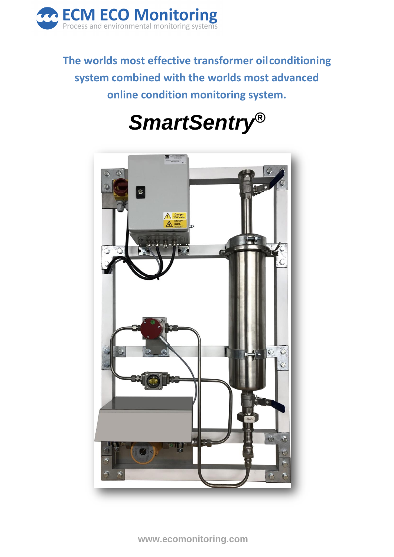

# **The worlds most effective transformer oilconditioning system combined with the worlds most advanced online condition monitoring system.**





**<sup>1</sup> www.ecomonitoring.com**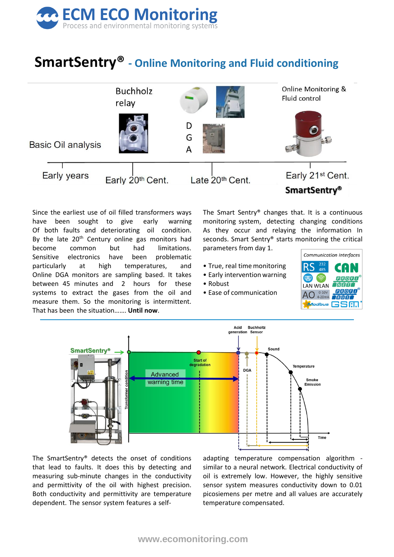

## **SmartSentry® - Online Monitoring and Fluid conditioning**



Since the earliest use of oil filled transformers ways have been sought to give early warning Of both faults and deteriorating oil condition. By the late 20<sup>th</sup> Century online gas monitors had become common but had limitations. Sensitive electronics have been problematic particularly at high temperatures, and Online DGA monitors are sampling based. It takes between 45 minutes and 2 hours for these systems to extract the gases from the oil and measure them. So the monitoring is intermittent. That has been the situation……. **Until now**.

The Smart Sentry® changes that. It is a continuous monitoring system, detecting changing conditions As they occur and relaying the information In seconds. Smart Sentry® starts monitoring the critical parameters from day 1.

- True, real time monitoring
- Early intervention warning
- Robust
- Ease of communication





The SmartSentry® detects the onset of conditions that lead to faults. It does this by detecting and measuring sub-minute changes in the conductivity and permittivity of the oil with highest precision. Both conductivity and permittivity are temperature dependent. The sensor system features a selfadapting temperature compensation algorithm similar to a neural network. Electrical conductivity of oil is extremely low. However, the highly sensitive sensor system measures conductivity down to 0.01 picosiemens per metre and all values are accurately temperature compensated.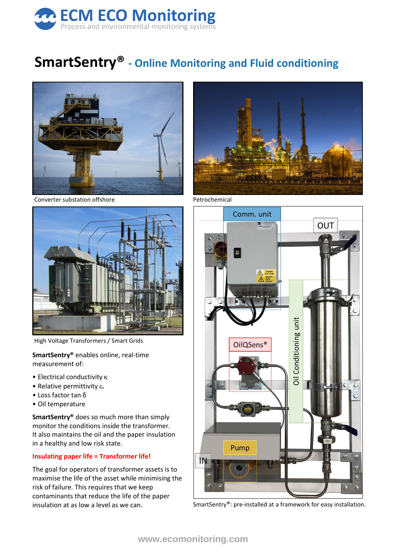

## **SmartSentry® - Online Monitoring and Fluid conditioning**



Converter substation offshore extending the set of Petrochemical



High Voltage Transformers / Smart Grids

**SmartSentry®** enables online, real-time measurement of:

- Electrical conductivity  $\kappa$
- Relative permittivity  $\varepsilon_r$
- Loss factor tan δ
- Oil temperature

**SmartSentry®** does so much more than simply monitor the conditions inside the transformer. It also maintains the oil and the paper insulation in a healthy and low risk state.

#### **Insulating paper life = Transformer life!**

The goal for operators of transformer assets is to maximise the life of the asset while minimising the risk of failure. This requires that we keep contaminants that reduce the life of the paper insulation at as low a level as we can. ShartSentry®: pre-installed at a framework for easy installation.



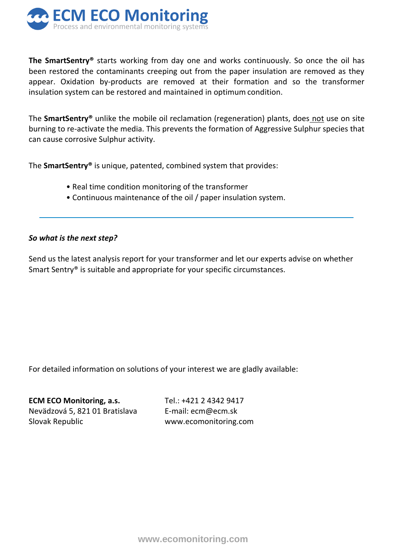

**The SmartSentry®** starts working from day one and works continuously. So once the oil has been restored the contaminants creeping out from the paper insulation are removed as they appear. Oxidation by-products are removed at their formation and so the transformer insulation system can be restored and maintained in optimum condition.

The **SmartSentry®** unlike the mobile oil reclamation (regeneration) plants, does not use on site burning to re-activate the media. This prevents the formation of Aggressive Sulphur species that can cause corrosive Sulphur activity.

The **SmartSentry®** is unique, patented, combined system that provides:

- Real time condition monitoring of the transformer
- Continuous maintenance of the oil / paper insulation system.

#### *So what is the next step?*

Send us the latest analysis report for your transformer and let our experts advise on whether Smart Sentry® is suitable and appropriate for your specific circumstances.

For detailed information on solutions of your interest we are gladly available:

**ECM ECO Monitoring, a.s.** Tel.: +421 2 4342 9417 Nevädzová 5, 821 01 Bratislava E-mail: ecm@ecm.sk Slovak Republic www.ecomonitoring.com